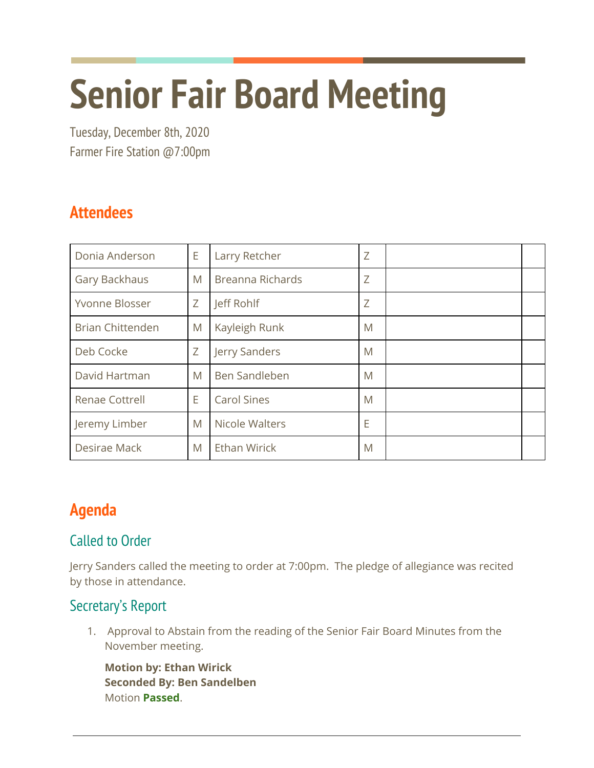# **Senior Fair Board Meeting**

Tuesday, December 8th, 2020 Farmer Fire Station @7:00pm

## **Attendees**

| Donia Anderson          | E | Larry Retcher           | Z |  |
|-------------------------|---|-------------------------|---|--|
| Gary Backhaus           | M | <b>Breanna Richards</b> | Z |  |
| Yvonne Blosser          | Ζ | Jeff Rohlf              | Z |  |
| <b>Brian Chittenden</b> | M | Kayleigh Runk           | M |  |
| Deb Cocke               | Ζ | Jerry Sanders           | M |  |
| David Hartman           | M | Ben Sandleben           | M |  |
| <b>Renae Cottrell</b>   | E | <b>Carol Sines</b>      | M |  |
| Jeremy Limber           | M | Nicole Walters          | E |  |
| Desirae Mack            | M | <b>Ethan Wirick</b>     | M |  |

# **Agenda**

## Called to Order

Jerry Sanders called the meeting to order at 7:00pm. The pledge of allegiance was recited by those in attendance.

## Secretary's Report

1. Approval to Abstain from the reading of the Senior Fair Board Minutes from the November meeting.

**Motion by: Ethan Wirick Seconded By: Ben Sandelben** Motion **Passed**.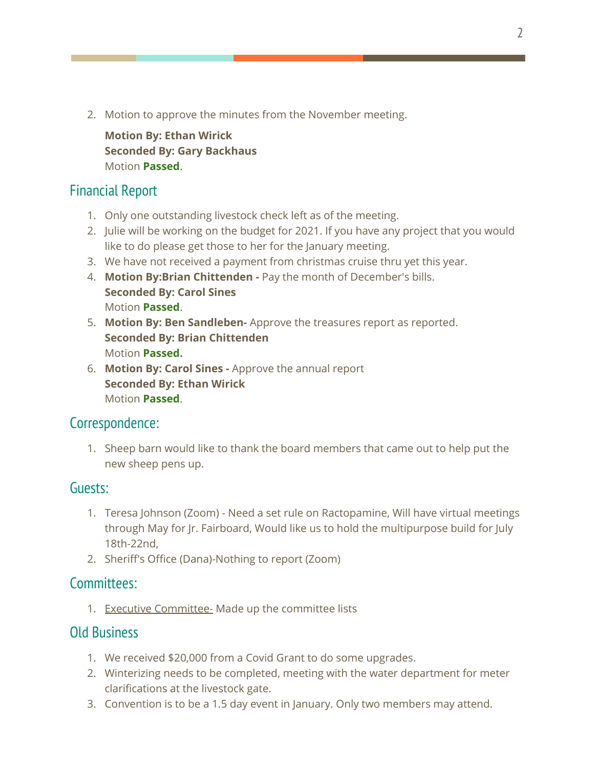2. Motion to approve the minutes from the November meeting.

**Motion By: Ethan Wirick Seconded By: Gary Backhaus** Motion **Passed**.

#### Financial Report

- 1. Only one outstanding livestock check left as of the meeting.
- 2. Julie will be working on the budget for 2021. If you have any project that you would like to do please get those to her for the January meeting.
- 3. We have not received a payment from christmas cruise thru yet this year.
- 4. **Motion By:Brian Chittenden -** Pay the month of December's bills. **Seconded By: Carol Sines** Motion **Passed**.
- 5. **Motion By: Ben Sandleben-** Approve the treasures report as reported. **Seconded By: Brian Chittenden** Motion **Passed.**
- 6. **Motion By: Carol Sines -** Approve the annual report **Seconded By: Ethan Wirick** Motion **Passed**.

#### Correspondence:

1. Sheep barn would like to thank the board members that came out to help put the new sheep pens up.

#### Guests:

- 1. Teresa Johnson (Zoom) Need a set rule on Ractopamine, Will have virtual meetings through May for Jr. Fairboard, Would like us to hold the multipurpose build for July 18th-22nd,
- 2. Sheriff's Office (Dana)-Nothing to report (Zoom)

#### Committees:

1. Executive Committee- Made up the committee lists

### Old Business

- 1. We received \$20,000 from a Covid Grant to do some upgrades.
- 2. Winterizing needs to be completed, meeting with the water department for meter clarifications at the livestock gate.
- 3. Convention is to be a 1.5 day event in January. Only two members may attend.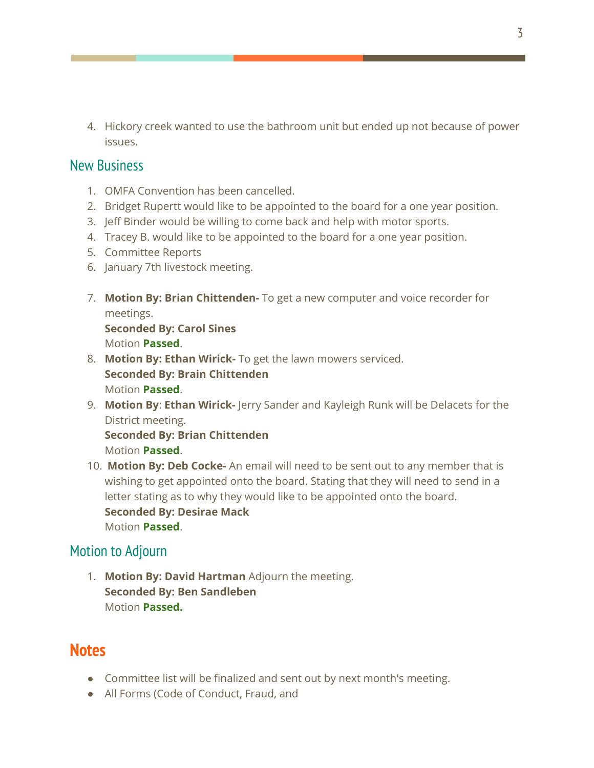4. Hickory creek wanted to use the bathroom unit but ended up not because of power issues.

#### New Business

- 1. OMFA Convention has been cancelled.
- 2. Bridget Rupertt would like to be appointed to the board for a one year position.
- 3. Jeff Binder would be willing to come back and help with motor sports.
- 4. Tracey B. would like to be appointed to the board for a one year position.
- 5. Committee Reports
- 6. January 7th livestock meeting.
- 7. **Motion By: Brian Chittenden-** To get a new computer and voice recorder for meetings.

**Seconded By: Carol Sines** Motion **Passed**.

- 8. **Motion By: Ethan Wirick-** To get the lawn mowers serviced. **Seconded By: Brain Chittenden** Motion **Passed**.
- 9. **Motion By**: **Ethan Wirick-** Jerry Sander and Kayleigh Runk will be Delacets for the District meeting.

**Seconded By: Brian Chittenden** Motion **Passed**.

10. **Motion By: Deb Cocke-** An email will need to be sent out to any member that is wishing to get appointed onto the board. Stating that they will need to send in a letter stating as to why they would like to be appointed onto the board. **Seconded By: Desirae Mack** Motion **Passed**.

#### Motion to Adjourn

1. **Motion By: David Hartman** Adjourn the meeting. **Seconded By: Ben Sandleben** Motion **Passed.**

## **Notes**

- Committee list will be finalized and sent out by next month's meeting.
- All Forms (Code of Conduct, Fraud, and